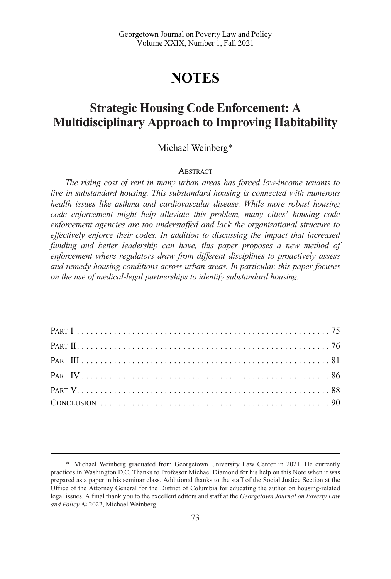# **NOTES**

## **Strategic Housing Code Enforcement: A Multidisciplinary Approach to Improving Habitability**

### Michael Weinberg\*

#### **ABSTRACT**

*The rising cost of rent in many urban areas has forced low-income tenants to live in substandard housing. This substandard housing is connected with numerous health issues like asthma and cardiovascular disease. While more robust housing code enforcement might help alleviate this problem, many cities' housing code enforcement agencies are too understaffed and lack the organizational structure to effectively enforce their codes. In addition to discussing the impact that increased funding and better leadership can have, this paper proposes a new method of enforcement where regulators draw from different disciplines to proactively assess and remedy housing conditions across urban areas. In particular, this paper focuses on the use of medical-legal partnerships to identify substandard housing.* 

<sup>\*</sup> Michael Weinberg graduated from Georgetown University Law Center in 2021. He currently practices in Washington D.C. Thanks to Professor Michael Diamond for his help on this Note when it was prepared as a paper in his seminar class. Additional thanks to the staff of the Social Justice Section at the Office of the Attorney General for the District of Columbia for educating the author on housing-related legal issues. A final thank you to the excellent editors and staff at the *Georgetown Journal on Poverty Law and Policy*. © 2022, Michael Weinberg.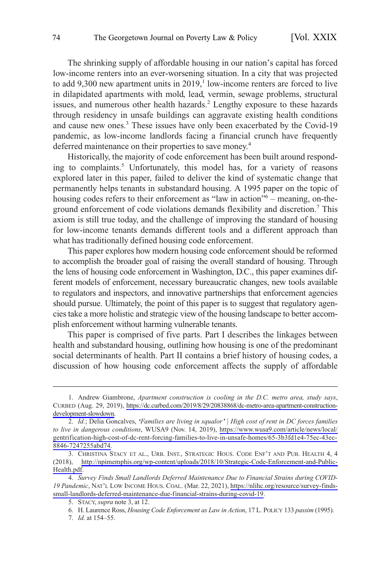The shrinking supply of affordable housing in our nation's capital has forced low-income renters into an ever-worsening situation. In a city that was projected to add  $9,300$  new apartment units in  $2019$ ,<sup>1</sup> low-income renters are forced to live in dilapidated apartments with mold, lead, vermin, sewage problems, structural issues, and numerous other health hazards.<sup>2</sup> Lengthy exposure to these hazards through residency in unsafe buildings can aggravate existing health conditions and cause new ones.<sup>3</sup> These issues have only been exacerbated by the Covid-19 pandemic, as low-income landlords facing a financial crunch have frequently deferred maintenance on their properties to save money.<sup>4</sup>

Historically, the majority of code enforcement has been built around responding to complaints.<sup>5</sup> Unfortunately, this model has, for a variety of reasons explored later in this paper, failed to deliver the kind of systematic change that permanently helps tenants in substandard housing. A 1995 paper on the topic of housing codes refers to their enforcement as "law in action"<sup>6</sup> – meaning, on-theground enforcement of code violations demands flexibility and discretion.7 This axiom is still true today, and the challenge of improving the standard of housing for low-income tenants demands different tools and a different approach than what has traditionally defined housing code enforcement.

This paper explores how modern housing code enforcement should be reformed to accomplish the broader goal of raising the overall standard of housing. Through the lens of housing code enforcement in Washington, D.C., this paper examines different models of enforcement, necessary bureaucratic changes, new tools available to regulators and inspectors, and innovative partnerships that enforcement agencies should pursue. Ultimately, the point of this paper is to suggest that regulatory agencies take a more holistic and strategic view of the housing landscape to better accomplish enforcement without harming vulnerable tenants.

This paper is comprised of five parts. Part I describes the linkages between health and substandard housing, outlining how housing is one of the predominant social determinants of health. Part II contains a brief history of housing codes, a discussion of how housing code enforcement affects the supply of affordable

<sup>1.</sup> Andrew Giambrone, *Apartment construction is cooling in the D.C. metro area, study says*, CURBED (Aug. 29, 2019), [https://dc.curbed.com/2019/8/29/20838868/dc-metro-area-apartment-construction](https://dc.curbed.com/2019/8/29/20838868/dc-metro-area-apartment-construction-development-slowdown)[development-slowdown.](https://dc.curbed.com/2019/8/29/20838868/dc-metro-area-apartment-construction-development-slowdown)

*Id.*; Delia Goncalves, *'Families are living in squalor'* j *High cost of rent in DC forces families*  2. *to live in dangerous conditions*, WUSA9 (Nov. 14, 2019), [https://www.wusa9.com/article/news/local/](https://www.wusa9.com/article/news/local/gentrification-high-cost-of-dc-rent-forcing-families-to-live-in-unsafe-homes/65-3b3fd1e4-75ec-43ec-8846-7247255abd74)  [gentrification-high-cost-of-dc-rent-forcing-families-to-live-in-unsafe-homes/65-3b3fd1e4-75ec-43ec-](https://www.wusa9.com/article/news/local/gentrification-high-cost-of-dc-rent-forcing-families-to-live-in-unsafe-homes/65-3b3fd1e4-75ec-43ec-8846-7247255abd74)[8846-7247255abd74.](https://www.wusa9.com/article/news/local/gentrification-high-cost-of-dc-rent-forcing-families-to-live-in-unsafe-homes/65-3b3fd1e4-75ec-43ec-8846-7247255abd74)

<sup>3.</sup> CHRISTINA STACY ET AL., URB. INST., STRATEGIC HOUS. CODE ENF'T AND PUB. HEALTH 4, 4 (2018), [http://npimemphis.org/wp-content/uploads/2018/10/Strategic-Code-Enforcement-and-Public-](http://npimemphis.org/wp-content/uploads/2018/10/Strategic-Code-Enforcement-and-Public-Health.pdf)[Health.pdf](http://npimemphis.org/wp-content/uploads/2018/10/Strategic-Code-Enforcement-and-Public-Health.pdf).

*Survey Finds Small Landlords Deferred Maintenance Due to Financial Strains during COVID-*4. *19 Pandemic*, NAT'L LOW INCOME HOUS. COAL. (Mar. 22, 2021), [https://nlihc.org/resource/survey-finds](https://nlihc.org/resource/survey-finds-small-landlords-deferred-maintenance-due-financial-strains-during-covid-19)[small-landlords-deferred-maintenance-due-financial-strains-during-covid-19.](https://nlihc.org/resource/survey-finds-small-landlords-deferred-maintenance-due-financial-strains-during-covid-19)

<sup>5.</sup> STACY, *supra* note 3, at 12.

<sup>6.</sup> H. Laurence Ross, *Housing Code Enforcement as Law in Action*, 17 L. POLICY 133 *passim* (1995).

<sup>7.</sup> *Id.* at 154–55.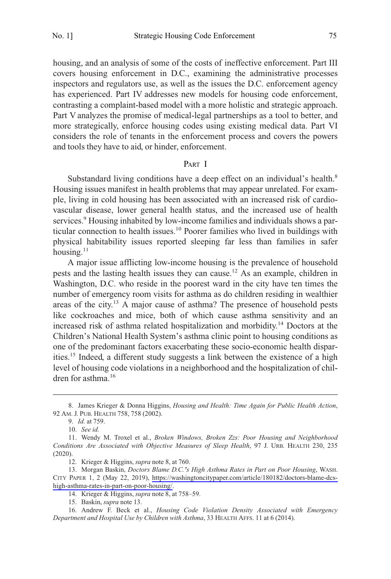housing, and an analysis of some of the costs of ineffective enforcement. Part III covers housing enforcement in D.C., examining the administrative processes inspectors and regulators use, as well as the issues the D.C. enforcement agency has experienced. Part IV addresses new models for housing code enforcement, contrasting a complaint-based model with a more holistic and strategic approach. Part V analyzes the promise of medical-legal partnerships as a tool to better, and more strategically, enforce housing codes using existing medical data. Part VI considers the role of tenants in the enforcement process and covers the powers and tools they have to aid, or hinder, enforcement.

#### PART I

Substandard living conditions have a deep effect on an individual's health.<sup>8</sup> Housing issues manifest in health problems that may appear unrelated. For example, living in cold housing has been associated with an increased risk of cardiovascular disease, lower general health status, and the increased use of health services.<sup>9</sup> Housing inhabited by low-income families and individuals shows a particular connection to health issues.10 Poorer families who lived in buildings with physical habitability issues reported sleeping far less than families in safer housing. $11$ 

A major issue afflicting low-income housing is the prevalence of household pests and the lasting health issues they can cause.12 As an example, children in Washington, D.C. who reside in the poorest ward in the city have ten times the number of emergency room visits for asthma as do children residing in wealthier areas of the city.<sup>13</sup> A major cause of asthma? The presence of household pests like cockroaches and mice, both of which cause asthma sensitivity and an increased risk of asthma related hospitalization and morbidity.14 Doctors at the Children's National Health System's asthma clinic point to housing conditions as one of the predominant factors exacerbating these socio-economic health disparities.15 Indeed, a different study suggests a link between the existence of a high level of housing code violations in a neighborhood and the hospitalization of children for asthma.<sup>16</sup>

<sup>8.</sup> James Krieger & Donna Higgins, *Housing and Health: Time Again for Public Health Action*, 92 AM. J. PUB. HEALTH 758, 758 (2002).

<sup>9.</sup> *Id.* at 759.

<sup>10.</sup> *See id.* 

<sup>11.</sup> Wendy M. Troxel et al., *Broken Windows, Broken Zzs: Poor Housing and Neighborhood Conditions Are Associated with Objective Measures of Sleep Health*, 97 J. URB. HEALTH 230, 235 (2020).

<sup>12.</sup> Krieger & Higgins, *supra* note 8, at 760.

<sup>13.</sup> Morgan Baskin, *Doctors Blame D.C.'s High Asthma Rates in Part on Poor Housing*, WASH. CITY PAPER 1, 2 (May 22, 2019), [https://washingtoncitypaper.com/article/180182/doctors-blame-dcs](https://washingtoncitypaper.com/article/180182/doctors-blame-dcs-high-asthma-rates-in-part-on-poor-housing/)[high-asthma-rates-in-part-on-poor-housing/.](https://washingtoncitypaper.com/article/180182/doctors-blame-dcs-high-asthma-rates-in-part-on-poor-housing/)

<sup>14.</sup> Krieger & Higgins, *supra* note 8, at 758–59.

<sup>15.</sup> Baskin, *supra* note 13.

<sup>16.</sup> Andrew F. Beck et al., *Housing Code Violation Density Associated with Emergency Department and Hospital Use by Children with Asthma*, 33 HEALTH AFFS. 11 at 6 (2014).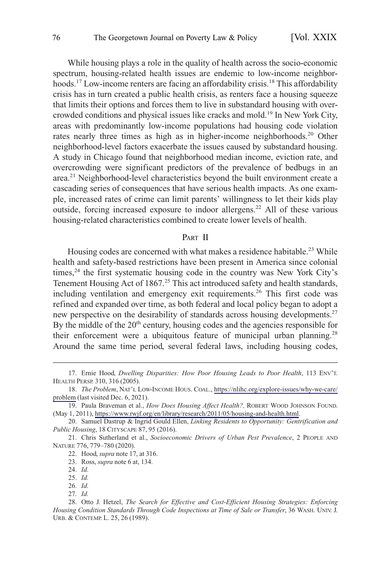<span id="page-3-0"></span>While housing plays a role in the quality of health across the socio-economic spectrum, housing-related health issues are endemic to low-income neighborhoods.<sup>17</sup> Low-income renters are facing an affordability crisis.<sup>18</sup> This affordability crisis has in turn created a public health crisis, as renters face a housing squeeze that limits their options and forces them to live in substandard housing with overcrowded conditions and physical issues like cracks and mold.<sup>19</sup> In New York City, areas with predominantly low-income populations had housing code violation rates nearly three times as high as in higher-income neighborhoods.<sup>20</sup> Other neighborhood-level factors exacerbate the issues caused by substandard housing. A study in Chicago found that neighborhood median income, eviction rate, and overcrowding were significant predictors of the prevalence of bedbugs in an area.21 Neighborhood-level characteristics beyond the built environment create a cascading series of consequences that have serious health impacts. As one example, increased rates of crime can limit parents' willingness to let their kids play outside, forcing increased exposure to indoor allergens.<sup>22</sup> All of these various housing-related characteristics combined to create lower levels of health.

#### PART II

Housing codes are concerned with what makes a residence habitable.<sup>23</sup> While health and safety-based restrictions have been present in America since colonial times,<sup>24</sup> the first systematic housing code in the country was New York City's Tenement Housing Act of 1867.<sup>25</sup> This act introduced safety and health standards, including ventilation and emergency exit requirements.<sup>26</sup> This first code was refined and expanded over time, as both federal and local policy began to adopt a new perspective on the desirability of standards across housing developments.<sup>27</sup> By the middle of the  $20<sup>th</sup>$  century, housing codes and the agencies responsible for their enforcement were a ubiquitous feature of municipal urban planning.<sup>28</sup> Around the same time period, several federal laws, including housing codes,

<sup>17.</sup> Ernie Hood, *Dwelling Disparities: How Poor Housing Leads to Poor Health*, 113 ENV'T. HEALTH PERSP. 310, 316 (2005).

<sup>18.</sup> The Problem, NAT'L LOW-INCOME HOUS. COAL., https://nlihc.org/explore-issues/why-we-care/ [problem](https://nlihc.org/explore-issues/why-we-care/problem) (last visited Dec. 6, 2021).

<sup>19.</sup> Paula Braveman et al., *How Does Housing Affect Health?*, ROBERT WOOD JOHNSON FOUND. (May 1, 2011), [https://www.rwjf.org/en/library/research/2011/05/housing-and-health.html.](https://www.rwjf.org/en/library/research/2011/05/housing-and-health.html)

<sup>20.</sup> Samuel Dastrup & Ingrid Gould Ellen, *Linking Residents to Opportunity: Gentrification and Public Housing*, 18 CITYSCAPE 87, 95 (2016).

<sup>21.</sup> Chris Sutherland et al., *Socioeconomic Drivers of Urban Pest Prevalence*, 2 PEOPLE AND NATURE 776, 779–780 (2020).

<sup>22.</sup> Hood, *supra* note 17, at 316.

<sup>23.</sup> Ross, *supra* note 6 at, 134.

<sup>24.</sup> *Id.* 

<sup>25.</sup> *Id.* 

<sup>26.</sup> *Id.*  27. *Id.* 

<sup>28.</sup> Otto J. Hetzel, *The Search for Effective and Cost-Efficient Housing Strategies: Enforcing Housing Condition Standards Through Code Inspections at Time of Sale or Transfer*, 36 WASH. UNIV. J. URB. & CONTEMP. L. 25, 26 (1989).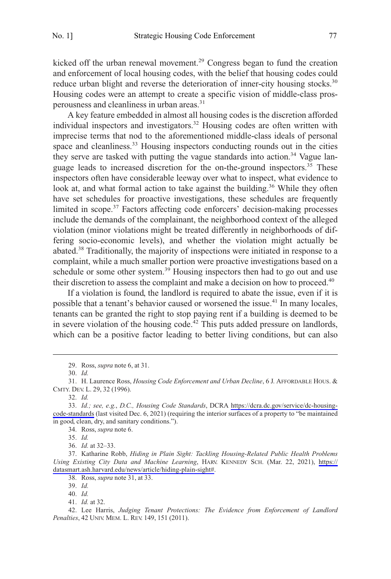kicked off the urban renewal movement.<sup>29</sup> Congress began to fund the creation and enforcement of local housing codes, with the belief that housing codes could reduce urban blight and reverse the deterioration of inner-city housing stocks.<sup>30</sup> Housing codes were an attempt to create a specific vision of middle-class prosperousness and cleanliness in urban areas.<sup>31</sup>

A key feature embedded in almost all housing codes is the discretion afforded individual inspectors and investigators.<sup>32</sup> Housing codes are often written with imprecise terms that nod to the aforementioned middle-class ideals of personal space and cleanliness.<sup>33</sup> Housing inspectors conducting rounds out in the cities they serve are tasked with putting the vague standards into action.<sup>34</sup> Vague language leads to increased discretion for the on-the-ground inspectors.<sup>35</sup> These inspectors often have considerable leeway over what to inspect, what evidence to look at, and what formal action to take against the building.<sup>36</sup> While they often have set schedules for proactive investigations, these schedules are frequently limited in scope.<sup>37</sup> Factors affecting code enforcers' decision-making processes include the demands of the complainant, the neighborhood context of the alleged violation (minor violations might be treated differently in neighborhoods of differing socio-economic levels), and whether the violation might actually be abated.<sup>38</sup> Traditionally, the majority of inspections were initiated in response to a complaint, while a much smaller portion were proactive investigations based on a schedule or some other system.<sup>39</sup> Housing inspectors then had to go out and use their discretion to assess the complaint and make a decision on how to proceed.<sup>40</sup>

If a violation is found, the landlord is required to abate the issue, even if it is possible that a tenant's behavior caused or worsened the issue.<sup>41</sup> In many locales, tenants can be granted the right to stop paying rent if a building is deemed to be in severe violation of the housing code.<sup>42</sup> This puts added pressure on landlords, which can be a positive factor leading to better living conditions, but can also

35. *Id.* 

36. *Id.* at 32–33.

38. Ross, *supra* note 31, at 33.

39. *Id.* 

<sup>29.</sup> Ross, *supra* note 6, at 31.

<sup>30.</sup> *Id.* 

<sup>31.</sup> H. Laurence Ross, *Housing Code Enforcement and Urban Decline*, 6 J. AFFORDABLE HOUS. & CMTY. DEV. L. 29, 32 (1996).

<sup>32.</sup> *Id.* 

*Id.; see, e.g.*, *D.C., Housing Code Standards*, DCRA [https://dcra.dc.gov/service/dc-housing-](https://dcra.dc.gov/service/dc-housing-code-standards)33. [code-standards](https://dcra.dc.gov/service/dc-housing-code-standards) (last visited Dec. 6, 2021) (requiring the interior surfaces of a property to "be maintained in good, clean, dry, and sanitary conditions.").

<sup>34.</sup> Ross, *supra* note 6.

<sup>37.</sup> Katharine Robb, *Hiding in Plain Sight: Tackling Housing-Related Public Health Problems Using Existing City Data and Machine Learning*, HARV. KENNEDY SCH. (Mar. 22, 2021), [https://](https://datasmart.ash.harvard.edu/news/article/hiding-plain-sight#)  [datasmart.ash.harvard.edu/news/article/hiding-plain-sight#](https://datasmart.ash.harvard.edu/news/article/hiding-plain-sight#).

<sup>40.</sup> *Id.* 

<sup>41.</sup> *Id.* at 32.

<sup>42.</sup> Lee Harris, *Judging Tenant Protections: The Evidence from Enforcement of Landlord Penalties*, 42 UNIV. MEM. L. REV. 149, 151 (2011).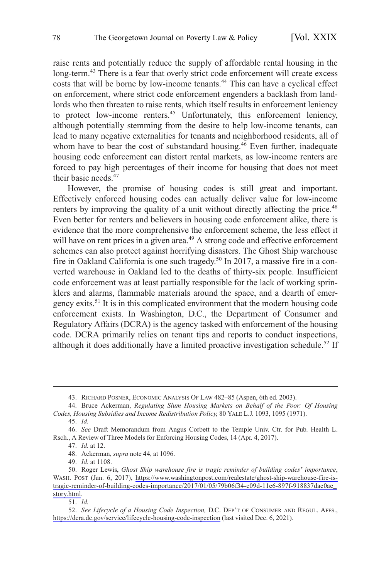raise rents and potentially reduce the supply of affordable rental housing in the long-term.<sup>43</sup> There is a fear that overly strict code enforcement will create excess costs that will be borne by low-income tenants.<sup>44</sup> This can have a cyclical effect on enforcement, where strict code enforcement engenders a backlash from landlords who then threaten to raise rents, which itself results in enforcement leniency to protect low-income renters.<sup>45</sup> Unfortunately, this enforcement leniency, although potentially stemming from the desire to help low-income tenants, can lead to many negative externalities for tenants and neighborhood residents, all of whom have to bear the cost of substandard housing. $46$  Even further, inadequate housing code enforcement can distort rental markets, as low-income renters are forced to pay high percentages of their income for housing that does not meet their basic needs.<sup>47</sup>

However, the promise of housing codes is still great and important. Effectively enforced housing codes can actually deliver value for low-income renters by improving the quality of a unit without directly affecting the price.<sup>48</sup> Even better for renters and believers in housing code enforcement alike, there is evidence that the more comprehensive the enforcement scheme, the less effect it will have on rent prices in a given area.<sup>49</sup> A strong code and effective enforcement schemes can also protect against horrifying disasters. The Ghost Ship warehouse fire in Oakland California is one such tragedy.<sup>50</sup> In 2017, a massive fire in a converted warehouse in Oakland led to the deaths of thirty-six people. Insufficient code enforcement was at least partially responsible for the lack of working sprinklers and alarms, flammable materials around the space, and a dearth of emergency exits.51 It is in this complicated environment that the modern housing code enforcement exists. In Washington, D.C., the Department of Consumer and Regulatory Affairs (DCRA) is the agency tasked with enforcement of the housing code. DCRA primarily relies on tenant tips and reports to conduct inspections, although it does additionally have a limited proactive investigation schedule.<sup>52</sup> If

45. *Id.* 

49. *Id.* at 1108.

<sup>43.</sup> RICHARD POSNER, ECONOMIC ANALYSIS OF LAW 482–85 (Aspen, 6th ed. 2003).

<sup>44.</sup> Bruce Ackerman, *Regulating Slum Housing Markets on Behalf of the Poor: Of Housing Codes, Housing Subsidies and Income Redistribution Policy*, 80 YALE L.J. 1093, 1095 (1971).

<sup>46.</sup> *See* Draft Memorandum from Angus Corbett to the Temple Univ. Ctr. for Pub. Health L. Rsch., A Review of Three Models for Enforcing Housing Codes, 14 (Apr. 4, 2017).

<sup>47.</sup> *Id.* at 12.

<sup>48.</sup> Ackerman, *supra* note 44, at 1096.

<sup>50.</sup> Roger Lewis, Ghost Ship warehouse fire is tragic reminder of building codes<sup>*'*</sup> importance, WASH. POST (Jan. 6, 2017), [https://www.washingtonpost.com/realestate/ghost-ship-warehouse-fire-is](https://www.washingtonpost.com/realestate/ghost-ship-warehouse-fire-is-tragic-reminder-of-building-codes-importance/2017/01/05/79b06f34-c09d-11e6-897f-918837dae0ae_story.html)[tragic-reminder-of-building-codes-importance/2017/01/05/79b06f34-c09d-11e6-897f-918837dae0ae\\_](https://www.washingtonpost.com/realestate/ghost-ship-warehouse-fire-is-tragic-reminder-of-building-codes-importance/2017/01/05/79b06f34-c09d-11e6-897f-918837dae0ae_story.html)  [story.html.](https://www.washingtonpost.com/realestate/ghost-ship-warehouse-fire-is-tragic-reminder-of-building-codes-importance/2017/01/05/79b06f34-c09d-11e6-897f-918837dae0ae_story.html)

<sup>51.</sup> *Id.* 

<sup>52.</sup> See Lifecycle of a Housing Code Inspection, D.C. DEP'T OF CONSUMER AND REGUL. AFFS., <https://dcra.dc.gov/service/lifecycle-housing-code-inspection> (last visited Dec. 6, 2021).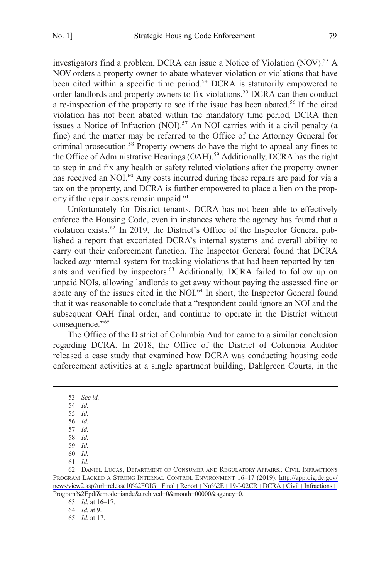investigators find a problem, DCRA can issue a Notice of Violation  $(NOV)$ <sup>53</sup> A NOV orders a property owner to abate whatever violation or violations that have been cited within a specific time period.<sup>54</sup> DCRA is statutorily empowered to order landlords and property owners to fix violations.<sup>55</sup> DCRA can then conduct a re-inspection of the property to see if the issue has been abated.56 If the cited violation has not been abated within the mandatory time period, DCRA then issues a Notice of Infraction (NOI).<sup>57</sup> An NOI carries with it a civil penalty (a fine) and the matter may be referred to the Office of the Attorney General for criminal prosecution.58 Property owners do have the right to appeal any fines to the Office of Administrative Hearings (OAH).<sup>59</sup> Additionally, DCRA has the right to step in and fix any health or safety related violations after the property owner has received an NOI.<sup>60</sup> Any costs incurred during these repairs are paid for via a tax on the property, and DCRA is further empowered to place a lien on the property if the repair costs remain unpaid.<sup>61</sup>

Unfortunately for District tenants, DCRA has not been able to effectively enforce the Housing Code, even in instances where the agency has found that a violation exists.<sup>62</sup> In 2019, the District's Office of the Inspector General published a report that excoriated DCRA's internal systems and overall ability to carry out their enforcement function. The Inspector General found that DCRA lacked *any* internal system for tracking violations that had been reported by tenants and verified by inspectors.<sup>63</sup> Additionally, DCRA failed to follow up on unpaid NOIs, allowing landlords to get away without paying the assessed fine or abate any of the issues cited in the NOI.<sup>64</sup> In short, the Inspector General found that it was reasonable to conclude that a "respondent could ignore an NOI and the subsequent OAH final order, and continue to operate in the District without consequence."<sup>65</sup>

The Office of the District of Columbia Auditor came to a similar conclusion regarding DCRA. In 2018, the Office of the District of Columbia Auditor released a case study that examined how DCRA was conducting housing code enforcement activities at a single apartment building, Dahlgreen Courts, in the

- 55. *Id.*  56. *Id.*
- 57. *Id.*

61. *Id.* 

64. *Id.* at 9.

<sup>53.</sup> *See id.* 

<sup>54.</sup> *Id.* 

<sup>58.</sup> *Id.* 

<sup>59.</sup> *Id.* 

<sup>60.</sup> *Id.* 

<sup>62.</sup> DANIEL LUCAS, DEPARTMENT OF CONSUMER AND REGULATORY AFFAIRS.: CIVIL INFRACTIONS PROGRAM LACKED A STRONG INTERNAL CONTROL ENVIRONMENT 16–17 (2019), [http://app.oig.dc.gov/](http://app.oig.dc.gov/ news/view2.asp?url=release10%2FOIG+Final+Report+No%2E+19-I-02CR+DCRA+Civil+Infractions+Program%2Epdf&mode=iande&archived=0&month=00000&agency=0)  [news/view2.asp?url=release10](http://app.oig.dc.gov/ news/view2.asp?url=release10%2FOIG+Final+Report+No%2E+19-I-02CR+DCRA+Civil+Infractions+Program%2Epdf&mode=iande&archived=0&month=00000&agency=0)%2FOIG+Final+Report+No%2E+19-I-02CR+DCRA+Civil+Infractions+ Program%2Epdf&mode=iande&archived=0&[month=00000](http://app.oig.dc.gov/ news/view2.asp?url=release10%2FOIG+Final+Report+No%2E+19-I-02CR+DCRA+Civil+Infractions+Program%2Epdf&mode=iande&archived=0&month=00000&agency=0)&agency=0.

<sup>63.</sup> *Id.* at 16–17.

<sup>65.</sup> *Id.* at 17.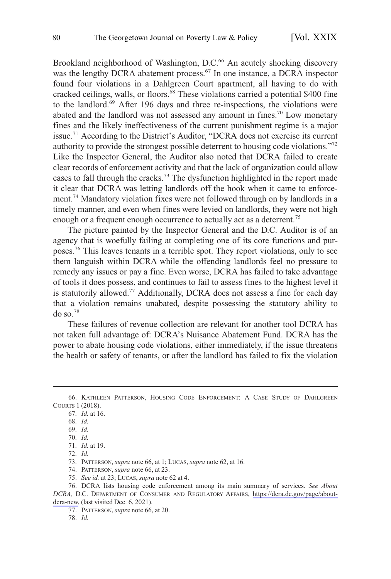Brookland neighborhood of Washington, D.C.<sup>66</sup> An acutely shocking discovery was the lengthy DCRA abatement process.<sup>67</sup> In one instance, a DCRA inspector found four violations in a Dahlgreen Court apartment, all having to do with cracked ceilings, walls, or floors.<sup>68</sup> These violations carried a potential \$400 fine to the landlord.<sup>69</sup> After 196 days and three re-inspections, the violations were abated and the landlord was not assessed any amount in fines.<sup>70</sup> Low monetary fines and the likely ineffectiveness of the current punishment regime is a major issue.71 According to the District's Auditor, "DCRA does not exercise its current authority to provide the strongest possible deterrent to housing code violations."<sup>72</sup> Like the Inspector General, the Auditor also noted that DCRA failed to create clear records of enforcement activity and that the lack of organization could allow cases to fall through the cracks.73 The dysfunction highlighted in the report made it clear that DCRA was letting landlords off the hook when it came to enforcement.<sup>74</sup> Mandatory violation fixes were not followed through on by landlords in a timely manner, and even when fines were levied on landlords, they were not high enough or a frequent enough occurrence to actually act as a deterrent.<sup>75</sup>

The picture painted by the Inspector General and the D.C. Auditor is of an agency that is woefully failing at completing one of its core functions and purposes.76 This leaves tenants in a terrible spot. They report violations, only to see them languish within DCRA while the offending landlords feel no pressure to remedy any issues or pay a fine. Even worse, DCRA has failed to take advantage of tools it does possess, and continues to fail to assess fines to the highest level it is statutorily allowed.<sup>77</sup> Additionally, DCRA does not assess a fine for each day that a violation remains unabated, despite possessing the statutory ability to do so. $78$ 

These failures of revenue collection are relevant for another tool DCRA has not taken full advantage of: DCRA's Nuisance Abatement Fund. DCRA has the power to abate housing code violations, either immediately, if the issue threatens the health or safety of tenants, or after the landlord has failed to fix the violation

<sup>66.</sup> KATHLEEN PATTERSON, HOUSING CODE ENFORCEMENT: A CASE STUDY OF DAHLGREEN COURTS 1 (2018).

<sup>67.</sup> *Id.* at 16.

<sup>68.</sup> *Id.* 

<sup>69.</sup> *Id.* 

<sup>70.</sup> *Id.* 

<sup>71.</sup> *Id.* at 19.

<sup>72.</sup> *Id.* 

<sup>73.</sup> PATTERSON, *supra* note 66, at 1; LUCAS, *supra* note 62, at 16.

<sup>74.</sup> PATTERSON, *supra* note 66, at 23.

<sup>75.</sup> *See id.* at 23; LUCAS, *supra* note 62 at 4.

DCRA lists housing code enforcement among its main summary of services. *See About*  76. *DCRA,* D.C. DEPARTMENT OF CONSUMER AND REGULATORY AFFAIRS, [https://dcra.dc.gov/page/about](https://dcra.dc.gov/page/about-dcra-new)[dcra-new,](https://dcra.dc.gov/page/about-dcra-new) (last visited Dec. 6, 2021).

<sup>77.</sup> PATTERSON, *supra* note 66, at 20.

<sup>78.</sup> *Id.*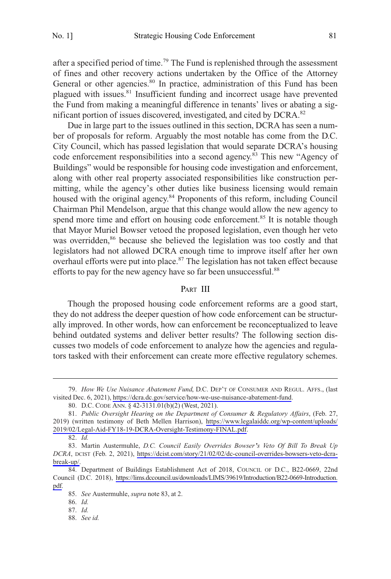<span id="page-8-0"></span>after a specified period of time.<sup>79</sup> The Fund is replenished through the assessment of fines and other recovery actions undertaken by the Office of the Attorney General or other agencies.<sup>80</sup> In practice, administration of this Fund has been plagued with issues.<sup>81</sup> Insufficient funding and incorrect usage have prevented the Fund from making a meaningful difference in tenants' lives or abating a significant portion of issues discovered, investigated, and cited by DCRA.<sup>82</sup>

Due in large part to the issues outlined in this section, DCRA has seen a number of proposals for reform. Arguably the most notable has come from the D.C. City Council, which has passed legislation that would separate DCRA's housing code enforcement responsibilities into a second agency.<sup>83</sup> This new "Agency of Buildings" would be responsible for housing code investigation and enforcement, along with other real property associated responsibilities like construction permitting, while the agency's other duties like business licensing would remain housed with the original agency.<sup>84</sup> Proponents of this reform, including Council Chairman Phil Mendelson, argue that this change would allow the new agency to spend more time and effort on housing code enforcement.<sup>85</sup> It is notable though that Mayor Muriel Bowser vetoed the proposed legislation, even though her veto was overridden,<sup>86</sup> because she believed the legislation was too costly and that legislators had not allowed DCRA enough time to improve itself after her own overhaul efforts were put into place.<sup>87</sup> The legislation has not taken effect because efforts to pay for the new agency have so far been unsuccessful.<sup>88</sup>

#### PART III

Though the proposed housing code enforcement reforms are a good start, they do not address the deeper question of how code enforcement can be structurally improved. In other words, how can enforcement be reconceptualized to leave behind outdated systems and deliver better results? The following section discusses two models of code enforcement to analyze how the agencies and regulators tasked with their enforcement can create more effective regulatory schemes.

*How We Use Nuisance Abatement Fund*, D.C. DEP'T OF CONSUMER AND REGUL. AFFS., (last 79. visited Dec. 6, 2021), [https://dcra.dc.gov/service/how-we-use-nuisance-abatement-fund.](https://dcra.dc.gov/service/how-we-use-nuisance-abatement-fund)

<sup>80.</sup> D.C. CODE ANN. § 42-3131.01(b)(2) (West, 2021).

*Public Oversight Hearing on the Department of Consumer* & *Regulatory Affairs*, (Feb. 27, 81. 2019) (written testimony of Beth Mellen Harrison), [https://www.legalaiddc.org/wp-content/uploads/](https://www.legalaiddc.org/wp-content/uploads/2019/02/Legal-Aid-FY18-19-DCRA-Oversight-Testimony-FINAL.pdf)  [2019/02/Legal-Aid-FY18-19-DCRA-Oversight-Testimony-FINAL.pdf.](https://www.legalaiddc.org/wp-content/uploads/2019/02/Legal-Aid-FY18-19-DCRA-Oversight-Testimony-FINAL.pdf)

<sup>82.</sup> *Id.* 

Martin Austermuhle, *D.C. Council Easily Overrides Bowser's Veto Of Bill To Break Up*  83. *DCRA*, DCIST (Feb. 2, 2021), [https://dcist.com/story/21/02/02/dc-council-overrides-bowsers-veto-dcra](https://dcist.com/story/21/02/02/dc-council-overrides-bowsers-veto-dcra-break-up/)[break-up/.](https://dcist.com/story/21/02/02/dc-council-overrides-bowsers-veto-dcra-break-up/)

<sup>84.</sup> Department of Buildings Establishment Act of 2018, COUNCIL OF D.C., B22-0669, 22nd Council (D.C. 2018), [https://lims.dccouncil.us/downloads/LIMS/39619/Introduction/B22-0669-Introduction.](https://lims.dccouncil.us/downloads/LIMS/39619/Introduction/B22-0669-Introduction.pdf)  [pdf.](https://lims.dccouncil.us/downloads/LIMS/39619/Introduction/B22-0669-Introduction.pdf)

<sup>85.</sup> *See* Austermuhle, *supra* note 83, at 2.

<sup>86.</sup> *Id.* 

<sup>87.</sup> *Id.* 

<sup>88.</sup> *See id.*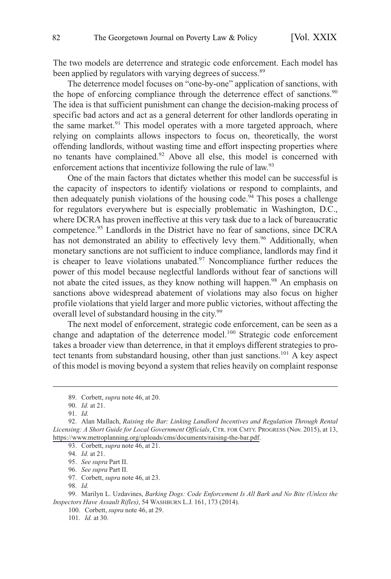The two models are deterrence and strategic code enforcement. Each model has been applied by regulators with varying degrees of success.<sup>89</sup>

The deterrence model focuses on "one-by-one" application of sanctions, with the hope of enforcing compliance through the deterrence effect of sanctions.<sup>90</sup> The idea is that sufficient punishment can change the decision-making process of specific bad actors and act as a general deterrent for other landlords operating in the same market.<sup>91</sup> This model operates with a more targeted approach, where relying on complaints allows inspectors to focus on, theoretically, the worst offending landlords, without wasting time and effort inspecting properties where no tenants have complained.<sup>92</sup> Above all else, this model is concerned with enforcement actions that incentivize following the rule of law.<sup>93</sup>

One of the main factors that dictates whether this model can be successful is the capacity of inspectors to identify violations or respond to complaints, and then adequately punish violations of the housing code.<sup>94</sup> This poses a challenge for regulators everywhere but is especially problematic in Washington, D.C., where DCRA has proven ineffective at this very task due to a lack of bureaucratic competence.95 Landlords in the District have no fear of sanctions, since DCRA has not demonstrated an ability to effectively levy them.<sup>96</sup> Additionally, when monetary sanctions are not sufficient to induce compliance, landlords may find it is cheaper to leave violations unabated. $97$  Noncompliance further reduces the power of this model because neglectful landlords without fear of sanctions will not abate the cited issues, as they know nothing will happen.<sup>98</sup> An emphasis on sanctions above widespread abatement of violations may also focus on higher profile violations that yield larger and more public victories, without affectin g the overall level of substandard housing in the city.<sup>99</sup>

The next model of enforcement, strategic code enforcement, can be seen as a change and adaptation of the deterrence model.<sup>100</sup> Strategic code enforcement takes a broader view than deterrence, in that it employs different strategies to protect tenants from substandard housing, other than just sanctions.<sup>101</sup> A key aspect of this model is moving beyond a system that relies heavily on complaint response

<sup>89.</sup> Corbett, *supra* note 46, at 20.

<sup>90.</sup> *Id.* at 21.

<sup>91.</sup> *Id.* 

<sup>92.</sup> Alan Mallach, *Raising the Bar: Linking Landlord Incentives and Regulation Through Rental Licensing: A Short Guide for Local Government Officials*, CTR. FOR CMTY. PROGRESS (Nov. 2015), at 13, <https://www.metroplanning.org/uploads/cms/documents/raising-the-bar.pdf>.

<sup>93.</sup> Corbett, *supra* note 46, at 21.

<sup>94.</sup> *Id.* at 21.

<sup>95.</sup> *See supra* Part II.

<sup>96.</sup> *See supra* Part II.

<sup>97.</sup> Corbett, *supra* note 46, at 23.

<sup>98.</sup> *Id.* 

<sup>99.</sup> Marilyn L. Uzdavines, *Barking Dogs: Code Enforcement Is All Bark and No Bite (Unless the Inspectors Have Assault Rifles)*, 54 WASHBURN L.J. 161, 173 (2014).

<sup>100.</sup> Corbett, *supra* note 46, at 29.

<sup>101.</sup> *Id.* at 30.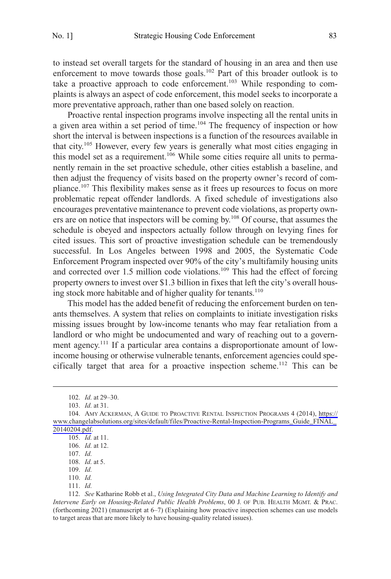to instead set overall targets for the standard of housing in an area and then use enforcement to move towards those goals.<sup>102</sup> Part of this broader outlook is to take a proactive approach to code enforcement.<sup>103</sup> While responding to complaints is always an aspect of code enforcement, this model seeks to incorporate a more preventative approach, rather than one based solely on reaction.

Proactive rental inspection programs involve inspecting all the rental units in a given area within a set period of time.<sup>104</sup> The frequency of inspection or how short the interval is between inspections is a function of the resources available in that city.105 However, every few years is generally what most cities engaging in this model set as a requirement.<sup>106</sup> While some cities require all units to permanently remain in the set proactive schedule, other cities establish a baseline, and then adjust the frequency of visits based on the property owner's record of compliance.<sup>107</sup> This flexibility makes sense as it frees up resources to focus on more problematic repeat offender landlords. A fixed schedule of investigations also encourages preventative maintenance to prevent code violations, as property owners are on notice that inspectors will be coming by.108 Of course, that assumes the schedule is obeyed and inspectors actually follow through on levying fines for cited issues. This sort of proactive investigation schedule can be tremendously successful. In Los Angeles between 1998 and 2005, the Systematic Code Enforcement Program inspected over 90% of the city's multifamily housing units and corrected over 1.5 million code violations.109 This had the effect of forcing property owners to invest over \$1.3 billion in fixes that left the city's overall housing stock more habitable and of higher quality for tenants. $110$ 

This model has the added benefit of reducing the enforcement burden on tenants themselves. A system that relies on complaints to initiate investigation risks missing issues brought by low-income tenants who may fear retaliation from a landlord or who might be undocumented and wary of reaching out to a government agency.<sup>111</sup> If a particular area contains a disproportionate amount of lowincome housing or otherwise vulnerable tenants, enforcement agencies could specifically target that area for a proactive inspection scheme.112 This can be

111. *Id.* 

<sup>102.</sup> *Id.* at 29–30.

<sup>103.</sup> *Id.* at 31.

<sup>104.</sup> AMY ACKERMAN, A GUIDE TO PROACTIVE RENTAL INSPECTION PROGRAMS 4 (2014), https:// [www.changelabsolutions.org/sites/default/files/Proactive-Rental-Inspection-Programs\\_Guide\\_FINAL\\_](https://www.changelabsolutions.org/sites/default/files/Proactive-Rental-Inspection-Programs_Guide_FINAL_20140204.pdf)  [20140204.pdf.](https://www.changelabsolutions.org/sites/default/files/Proactive-Rental-Inspection-Programs_Guide_FINAL_20140204.pdf)

<sup>105.</sup> *Id.* at 11.

<sup>106.</sup> *Id.* at 12.

<sup>107.</sup> *Id.* 

<sup>108.</sup> *Id.* at 5.

<sup>109.</sup> *Id.* 

<sup>110.</sup> *Id.* 

<sup>112.</sup> *See* Katharine Robb et al., *Using Integrated City Data and Machine Learning to Identify and Intervene Early on Housing-Related Public Health Problems*, 00 J. OF PUB. HEALTH MGMT. & PRAC. (forthcoming 2021) (manuscript at 6–7) (Explaining how proactive inspection schemes can use models to target areas that are more likely to have housing-quality related issues).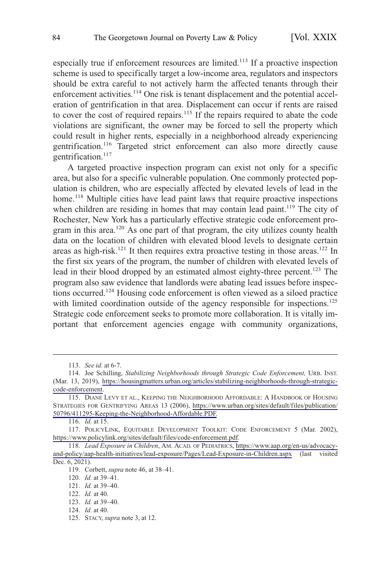especially true if enforcement resources are limited.113 If a proactive inspection scheme is used to specifically target a low-income area, regulators and inspectors should be extra careful to not actively harm the affected tenants through their enforcement activities.<sup>114</sup> One risk is tenant displacement and the potential acceleration of gentrification in that area. Displacement can occur if rents are raised to cover the cost of required repairs.<sup>115</sup> If the repairs required to abate the code violations are significant, the owner may be forced to sell the property which could result in higher rents, especially in a neighborhood already experiencing gentrification.116 Targeted strict enforcement can also more directly cause gentrification.<sup>117</sup>

A targeted proactive inspection program can exist not only for a specific area, but also for a specific vulnerable population. One commonly protected population is children, who are especially affected by elevated levels of lead in the home.<sup>118</sup> Multiple cities have lead paint laws that require proactive inspections when children are residing in homes that may contain lead paint.<sup>119</sup> The city of Rochester, New York has a particularly effective strategic code enforcement program in this area.<sup>120</sup> As one part of that program, the city utilizes county health data on the location of children with elevated blood levels to designate certain areas as high-risk.<sup>121</sup> It then requires extra proactive testing in those areas.<sup>122</sup> In the first six years of the program, the number of children with elevated levels of lead in their blood dropped by an estimated almost eighty-three percent.<sup>123</sup> The program also saw evidence that landlords were abating lead issues before inspections occurred.124 Housing code enforcement is often viewed as a siloed practice with limited coordination outside of the agency responsible for inspections.<sup>125</sup> Strategic code enforcement seeks to promote more collaboration. It is vitally important that enforcement agencies engage with community organizations,

<sup>113.</sup> *See id.* at 6-7.

<sup>114.</sup> Joe Schilling, *Stabilizing Neighborhoods through Strategic Code Enforcement*, URB. INST. (Mar. 13, 2019), [https://housingmatters.urban.org/articles/stabilizing-neighborhoods-through-strategic](https://housingmatters.urban.org/articles/stabilizing-neighborhoods-through-strategic-code-enforcement)[code-enforcement.](https://housingmatters.urban.org/articles/stabilizing-neighborhoods-through-strategic-code-enforcement)

<sup>115.</sup> DIANE LEVY ET AL., KEEPING THE NEIGHBORHOOD AFFORDABLE: A HANDBOOK OF HOUSING STRATEGIES FOR GENTRIFYING AREAS 13 (2006), [https://www.urban.org/sites/default/files/publication/](https://www.urban.org/sites/default/files/publication/50796/411295-Keeping-the-Neighborhood-Affordable.PDF) [50796/411295-Keeping-the-Neighborhood-Affordable.PDF.](https://www.urban.org/sites/default/files/publication/50796/411295-Keeping-the-Neighborhood-Affordable.PDF)

<sup>116.</sup> *Id.* at 15.

<sup>117.</sup> POLICYLINK, EQUITABLE DEVELOPMENT TOOLKIT: CODE ENFORCEMENT 5 (Mar. 2002), [https://www.policylink.org/sites/default/files/code-enforcement.pdf.](https://www.policylink.org/sites/default/files/code-enforcement.pdf)

*Lead Exposure in Children*, AM. ACAD. OF PEDIATRICS, [https://www.aap.org/en-us/advocacy-](https://www.aap.org/en-us/advocacy-and-policy/aap-health-initiatives/lead-exposure/Pages/Lead-Exposure-in-Children.aspx)118. [and-policy/aap-health-initiatives/lead-exposure/Pages/Lead-Exposure-in-Children.aspx](https://www.aap.org/en-us/advocacy-and-policy/aap-health-initiatives/lead-exposure/Pages/Lead-Exposure-in-Children.aspx) (last visited Dec. 6, 2021).

<sup>119.</sup> Corbett, *supra* note 46, at 38–41.

<sup>120.</sup> *Id.* at 39–41.

<sup>121.</sup> *Id.* at 39–40.

<sup>122.</sup> *Id.* at 40.

<sup>123.</sup> *Id.* at 39–40.

<sup>124.</sup> *Id.* at 40.

<sup>125.</sup> STACY, *supra* note 3, at 12.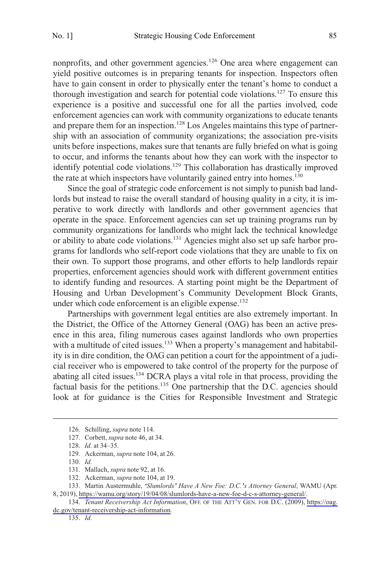nonprofits, and other government agencies.<sup>126</sup> One area where engagement can yield positive outcomes is in preparing tenants for inspection. Inspectors often have to gain consent in order to physically enter the tenant's home to conduct a thorough investigation and search for potential code violations.127 To ensure this experience is a positive and successful one for all the parties involved, code enforcement agencies can work with community organizations to educate tenants and prepare them for an inspection.<sup>128</sup> Los Angeles maintains this type of partnership with an association of community organizations; the association pre-visits units before inspections, makes sure that tenants are fully briefed on what is going to occur, and informs the tenants about how they can work with the inspector to identify potential code violations.129 This collaboration has drastically improved the rate at which inspectors have voluntarily gained entry into homes.<sup>130</sup>

Since the goal of strategic code enforcement is not simply to punish bad landlords but instead to raise the overall standard of housing quality in a city, it is imperative to work directly with landlords and other government agencies that operate in the space. Enforcement agencies can set up training programs run by community organizations for landlords who might lack the technical knowledge or ability to abate code violations.131 Agencies might also set up safe harbor programs for landlords who self-report code violations that they are unable to fix on their own. To support those programs, and other efforts to help landlords repair properties, enforcement agencies should work with different government entities to identify funding and resources. A starting point might be the Department of Housing and Urban Development's Community Development Block Grants, under which code enforcement is an eligible expense.<sup>132</sup>

Partnerships with government legal entities are also extremely important. In the District, the Office of the Attorney General (OAG) has been an active presence in this area, filing numerous cases against landlords who own properties with a multitude of cited issues.<sup>133</sup> When a property's management and habitability is in dire condition, the OAG can petition a court for the appointment of a judicial receiver who is empowered to take control of the property for the purpose of abating all cited issues.<sup>134</sup> DCRA plays a vital role in that process, providing the factual basis for the petitions.<sup>135</sup> One partnership that the D.C. agencies should look at for guidance is the Cities for Responsible Investment and Strategic

<sup>126.</sup> Schilling, *supra* note 114.

<sup>127.</sup> Corbett, *supra* note 46, at 34.

<sup>128.</sup> *Id.* at 34–35.

<sup>129.</sup> Ackerman, *supra* note 104, at 26.

<sup>130.</sup> *Id.* 

<sup>131.</sup> Mallach, *supra* note 92, at 16.

<sup>132.</sup> Ackerman, *supra* note 104, at 19.

Martin Austermuhle, *'Slumlords' Have A New Foe: D.C.'s Attorney General*, WAMU (Apr. 133. 8, 2019), [https://wamu.org/story/19/04/08/slumlords-have-a-new-foe-d-c-s-attorney-general/.](https://wamu.org/story/19/04/08/slumlords-have-a-new-foe-d-c-s-attorney-general/)

<sup>134.</sup> Tenant Receivership Act Information, OFF. OF THE ATT'Y GEN. FOR D.C. (2009), https://oag. [dc.gov/tenant-receivership-act-information](https://oag.dc.gov/tenant-receivership-act-information).

<sup>135.</sup> *Id.*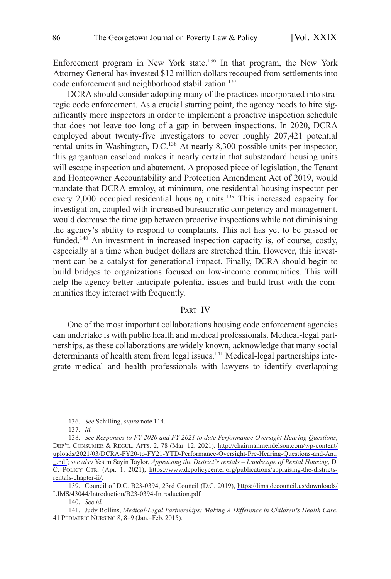<span id="page-13-0"></span>Enforcement program in New York state.136 In that program, the New York Attorney General has invested \$12 million dollars recouped from settlements into code enforcement and neighborhood stabilization.<sup>137</sup>

DCRA should consider adopting many of the practices incorporated into strategic code enforcement. As a crucial starting point, the agency needs to hire significantly more inspectors in order to implement a proactive inspection schedule that does not leave too long of a gap in between inspections. In 2020, DCRA employed about twenty-five investigators to cover roughly 207,421 potential rental units in Washington, D.C.<sup>138</sup> At nearly 8,300 possible units per inspector, this gargantuan caseload makes it nearly certain that substandard housing units will escape inspection and abatement. A proposed piece of legislation, the Tenant and Homeowner Accountability and Protection Amendment Act of 2019, would mandate that DCRA employ, at minimum, one residential housing inspector per every 2,000 occupied residential housing units.<sup>139</sup> This increased capacity for investigation, coupled with increased bureaucratic competency and management, would decrease the time gap between proactive inspections while not diminishing the agency's ability to respond to complaints. This act has yet to be passed or funded.<sup>140</sup> An investment in increased inspection capacity is, of course, costly, especially at a time when budget dollars are stretched thin. However, this investment can be a catalyst for generational impact. Finally, DCRA should begin to build bridges to organizations focused on low-income communities. This will help the agency better anticipate potential issues and build trust with the communities they interact with frequently.

#### PART IV

One of the most important collaborations housing code enforcement agencies can undertake is with public health and medical professionals. Medical-legal partnerships, as these collaborations are widely known, acknowledge that many social determinants of health stem from legal issues.<sup>141</sup> Medical-legal partnerships integrate medical and health professionals with lawyers to identify overlapping

<sup>136.</sup> *See* Schilling, *supra* note 114.

<sup>137.</sup> *Id.* 

<sup>138.</sup> See Responses to FY 2020 and FY 2021 to date Performance Oversight Hearing Questions, DEP'T. CONSUMER & REGUL. AFFS. 2, 78 (Mar. 12, 2021), [http://chairmanmendelson.com/wp-content/](http://chairmanmendelson.com/wp-content/uploads/2021/03/DCRA-FY20-to-FY21-YTD-Performance-Oversight-Pre-Hearing-Questions-and-An.._.pdf)  [uploads/2021/03/DCRA-FY20-to-FY21-YTD-Performance-Oversight-Pre-Hearing-Questions-and-An..](http://chairmanmendelson.com/wp-content/uploads/2021/03/DCRA-FY20-to-FY21-YTD-Performance-Oversight-Pre-Hearing-Questions-and-An.._.pdf)  [\\_.pdf;](http://chairmanmendelson.com/wp-content/uploads/2021/03/DCRA-FY20-to-FY21-YTD-Performance-Oversight-Pre-Hearing-Questions-and-An.._.pdf) *see also* Yesim Sayin Taylor, *Appraising the District's rentals – Landscape of Rental Housing*, D. C. POLICY CTR. (Apr. 1, 2021), [https://www.dcpolicycenter.org/publications/appraising-the-districts](https://www.dcpolicycenter.org/publications/appraising-the-districts-rentals-chapter-ii/)[rentals-chapter-ii/.](https://www.dcpolicycenter.org/publications/appraising-the-districts-rentals-chapter-ii/)

Council of D.C. B23-0394, 23rd Council (D.C. 2019), [https://lims.dccouncil.us/downloads/](https://lims.dccouncil.us/downloads/LIMS/43044/Introduction/B23-0394-Introduction.pdf)  139. [LIMS/43044/Introduction/B23-0394-Introduction.pdf](https://lims.dccouncil.us/downloads/LIMS/43044/Introduction/B23-0394-Introduction.pdf).

<sup>140.</sup> *See id.* 

<sup>141.</sup> Judy Rollins, *Medical-Legal Partnerships: Making A Difference in Children's Health Care*, 41 PEDIATRIC NURSING 8, 8–9 (Jan.–Feb. 2015).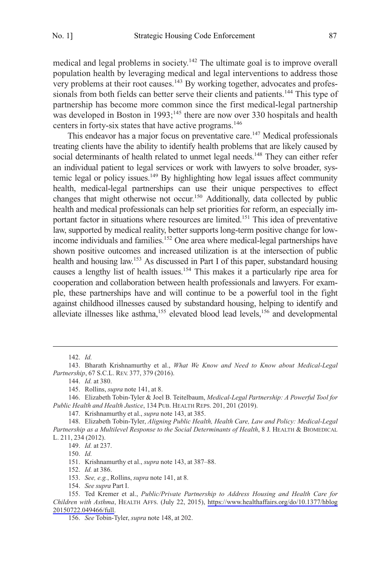medical and legal problems in society.<sup>142</sup> The ultimate goal is to improve overall population health by leveraging medical and legal interventions to address those very problems at their root causes.<sup>143</sup> By working together, advocates and professionals from both fields can better serve their clients and patients.<sup>144</sup> This type of partnership has become more common since the first medical-legal partnership was developed in Boston in 1993;<sup>145</sup> there are now over 330 hospitals and health centers in forty-six states that have active programs.<sup>146</sup>

This endeavor has a major focus on preventative care.<sup>147</sup> Medical professionals treating clients have the ability to identify health problems that are likely caused by social determinants of health related to unmet legal needs.<sup>148</sup> They can either refer an individual patient to legal services or work with lawyers to solve broader, systemic legal or policy issues.<sup>149</sup> By highlighting how legal issues affect community health, medical-legal partnerships can use their unique perspectives to effect changes that might otherwise not occur.<sup>150</sup> Additionally, data collected by public health and medical professionals can help set priorities for reform, an especially important factor in situations where resources are limited.<sup>151</sup> This idea of preventative law, supported by medical reality, better supports long-term positive change for lowincome individuals and families.<sup>152</sup> One area where medical-legal partnerships have shown positive outcomes and increased utilization is at the intersection of public health and housing law.<sup>153</sup> As discussed in Part I of this paper, substandard housing causes a lengthy list of health issues.154 This makes it a particularly ripe area for cooperation and collaboration between health professionals and lawyers. For example, these partnerships have and will continue to be a powerful tool in the fight against childhood illnesses caused by substandard housing, helping to identify and alleviate illnesses like asthma,<sup>155</sup> elevated blood lead levels,<sup>156</sup> and developmental

146. Elizabeth Tobin-Tyler & Joel B. Teitelbaum, *Medical-Legal Partnership: A Powerful Tool for Public Health and Health Justice*, 134 PUB. HEALTH REPS. 201, 201 (2019).

147. Krishnamurthy et al., *supra* note 143, at 385.

148. Elizabeth Tobin-Tyler, *Aligning Public Health, Health Care, Law and Policy: Medical-Legal Partnership as a Multilevel Response to the Social Determinants of Health*, 8 J. HEALTH & BIOMEDICAL L. 211, 234 (2012).

149. *Id.* at 237.

151. Krishnamurthy et al., *supra* note 143, at 387–88.

152. *Id.* at 386.

153. *See, e.g.*, Rollins, *supra* note 141, at 8.

154. *See supra* Part I.

<sup>142.</sup> *Id.* 

<sup>143.</sup> Bharath Krishnamurthy et al., *What We Know and Need to Know about Medical-Legal Partnership*, 67 S.C.L. REV. 377, 379 (2016).

<sup>144.</sup> *Id.* at 380.

<sup>145.</sup> Rollins, *supra* note 141, at 8.

<sup>150.</sup> *Id.* 

<sup>155.</sup> Ted Kremer et al., *Public/Private Partnership to Address Housing and Health Care for Children with Asthma*, HEALTH AFFS. (July 22, 2015), [https://www.healthaffairs.org/do/10.1377/hblog](https://www.healthaffairs.org/do/10.1377/hblog20150722.049466/full)  [20150722.049466/full.](https://www.healthaffairs.org/do/10.1377/hblog20150722.049466/full)

<sup>156.</sup> *See* Tobin-Tyler, *supra* note 148, at 202.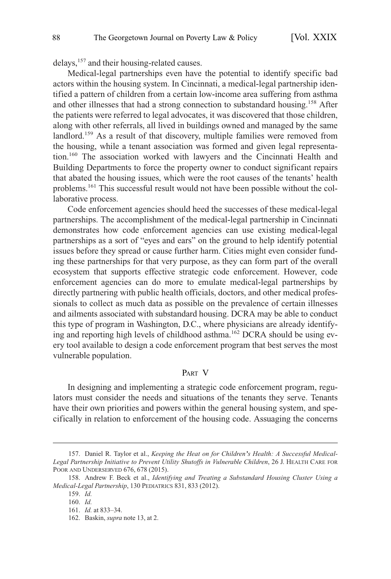<span id="page-15-0"></span>delays,157 and their housing-related causes.

Medical-legal partnerships even have the potential to identify specific bad actors within the housing system. In Cincinnati, a medical-legal partnership identified a pattern of children from a certain low-income area suffering from asthma and other illnesses that had a strong connection to substandard housing.158 After the patients were referred to legal advocates, it was discovered that those children, along with other referrals, all lived in buildings owned and managed by the same landlord.<sup>159</sup> As a result of that discovery, multiple families were removed from the housing, while a tenant association was formed and given legal representation.160 The association worked with lawyers and the Cincinnati Health and Building Departments to force the property owner to conduct significant repairs that abated the housing issues, which were the root causes of the tenants' health problems.<sup>161</sup> This successful result would not have been possible without the collaborative process.

Code enforcement agencies should heed the successes of these medical-legal partnerships. The accomplishment of the medical-legal partnership in Cincinnati demonstrates how code enforcement agencies can use existing medical-legal partnerships as a sort of "eyes and ears" on the ground to help identify potential issues before they spread or cause further harm. Cities might even consider funding these partnerships for that very purpose, as they can form part of the overall ecosystem that supports effective strategic code enforcement. However, code enforcement agencies can do more to emulate medical-legal partnerships by directly partnering with public health officials, doctors, and other medical professionals to collect as much data as possible on the prevalence of certain illnesses and ailments associated with substandard housing. DCRA may be able to conduct this type of program in Washington, D.C., where physicians are already identifying and reporting high levels of childhood asthma.<sup>162</sup> DCRA should be using every tool available to design a code enforcement program that best serves the most vulnerable population.

#### PART V

In designing and implementing a strategic code enforcement program, regulators must consider the needs and situations of the tenants they serve. Tenants have their own priorities and powers within the general housing system, and specifically in relation to enforcement of the housing code. Assuaging the concerns

<sup>157.</sup> Daniel R. Taylor et al., *Keeping the Heat on for Children's Health: A Successful Medical-Legal Partnership Initiative to Prevent Utility Shutoffs in Vulnerable Children*, 26 J. HEALTH CARE FOR POOR AND UNDERSERVED 676, 678 (2015).

<sup>158.</sup> Andrew F. Beck et al., *Identifying and Treating a Substandard Housing Cluster Using a Medical-Legal Partnership*, 130 PEDIATRICS 831, 833 (2012).

<sup>159.</sup> *Id.* 

<sup>160.</sup> *Id.* 

<sup>161.</sup> *Id.* at 833–34.

<sup>162.</sup> Baskin, *supra* note 13, at 2.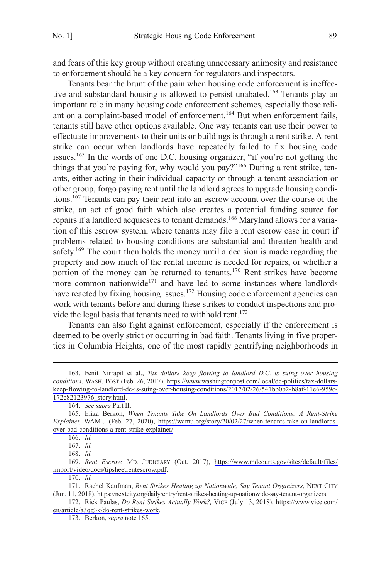and fears of this key group without creating unnecessary animosity and resistance to enforcement should be a key concern for regulators and inspectors.

Tenants bear the brunt of the pain when housing code enforcement is ineffective and substandard housing is allowed to persist unabated.<sup>163</sup> Tenants play an important role in many housing code enforcement schemes, especially those reliant on a complaint-based model of enforcement.<sup>164</sup> But when enforcement fails, tenants still have other options available. One way tenants can use their power to effectuate improvements to their units or buildings is through a rent strike. A rent strike can occur when landlords have repeatedly failed to fix housing code issues.<sup>165</sup> In the words of one D.C. housing organizer, "if you're not getting the things that you're paying for, why would you pay?"<sup>166</sup> During a rent strike, tenants, either acting in their individual capacity or through a tenant association or other group, forgo paying rent until the landlord agrees to upgrade housing conditions.167 Tenants can pay their rent into an escrow account over the course of the strike, an act of good faith which also creates a potential funding source for repairs if a landlord acquiesces to tenant demands.168 Maryland allows for a variation of this escrow system, where tenants may file a rent escrow case in court if problems related to housing conditions are substantial and threaten health and safety.<sup>169</sup> The court then holds the money until a decision is made regarding the property and how much of the rental income is needed for repairs, or whether a portion of the money can be returned to tenants.<sup>170</sup> Rent strikes have become more common nationwide<sup>171</sup> and have led to some instances where landlords have reacted by fixing housing issues.<sup>172</sup> Housing code enforcement agencies can work with tenants before and during these strikes to conduct inspections and provide the legal basis that tenants need to withhold rent.<sup>173</sup>

Tenants can also fight against enforcement, especially if the enforcement is deemed to be overly strict or occurring in bad faith. Tenants living in five properties in Columbia Heights, one of the most rapidly gentrifying neighborhoods in

170. *Id.* 

<sup>163.</sup> Fenit Nirrapil et al., *Tax dollars keep flowing to landlord D.C. is suing over housing conditions*, WASH. POST (Feb. 26, 2017), [https://www.washingtonpost.com/local/dc-politics/tax-dollars](https://www.washingtonpost.com/local/dc-politics/tax-dollars-keep-flowing-to-landlord-dc-is-suing-over-housing-conditions/2017/02/26/541bb0b2-b8af-11e6-959c-172c82123976_story.html)[keep-flowing-to-landlord-dc-is-suing-over-housing-conditions/2017/02/26/541bb0b2-b8af-11e6-959c-](https://www.washingtonpost.com/local/dc-politics/tax-dollars-keep-flowing-to-landlord-dc-is-suing-over-housing-conditions/2017/02/26/541bb0b2-b8af-11e6-959c-172c82123976_story.html)[172c82123976\\_story.html](https://www.washingtonpost.com/local/dc-politics/tax-dollars-keep-flowing-to-landlord-dc-is-suing-over-housing-conditions/2017/02/26/541bb0b2-b8af-11e6-959c-172c82123976_story.html).

<sup>164.</sup> *See supra* Part II.

Eliza Berkon, *When Tenants Take On Landlords Over Bad Conditions: A Rent-Strike*  165. *Explainer,* WAMU (Feb. 27, 2020), [https://wamu.org/story/20/02/27/when-tenants-take-on-landlords](https://wamu.org/story/20/02/27/when-tenants-take-on-landlords-over-bad-conditions-a-rent-strike-explainer/)[over-bad-conditions-a-rent-strike-explainer/](https://wamu.org/story/20/02/27/when-tenants-take-on-landlords-over-bad-conditions-a-rent-strike-explainer/).

<sup>166.</sup> *Id.* 

<sup>167.</sup> *Id.* 

<sup>168.</sup> *Id.* 

<sup>169.</sup> Rent Escrow, MD. JUDICIARY (Oct. 2017), https://www.mdcourts.gov/sites/default/files/ [import/video/docs/tipsheetrentescrow.pdf.](https://www.mdcourts.gov/sites/default/files/import/video/docs/tipsheetrentescrow.pdf)

<sup>171.</sup> Rachel Kaufman, Rent Strikes Heating up Nationwide, Say Tenant Organizers, NEXT CITY (Jun. 11, 2018), [https://nextcity.org/daily/entry/rent-strikes-heating-up-nationwide-say-tenant-organizers.](https://nextcity.org/daily/entry/rent-strikes-heating-up-nationwide-say-tenant-organizers)

<sup>172.</sup> Rick Paulas, *Do Rent Strikes Actually Work?*, VICE (July 13, 2018), https://www.vice.com/ [en/article/a3qg3k/do-rent-strikes-work](https://www.vice.com/en/article/a3qg3k/do-rent-strikes-work).

<sup>173.</sup> Berkon, *supra* note 165.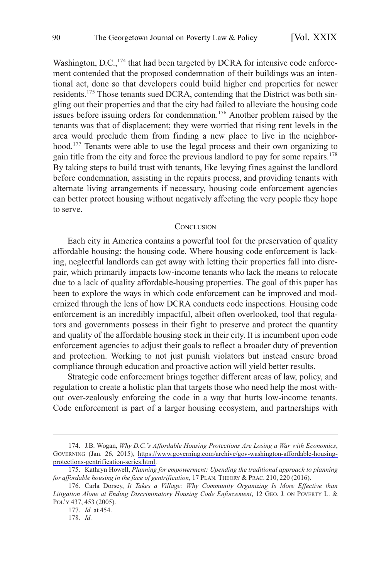<span id="page-17-0"></span>Washington, D.C.,<sup>174</sup> that had been targeted by DCRA for intensive code enforcement contended that the proposed condemnation of their buildings was an intentional act, done so that developers could build higher end properties for newer residents.175 Those tenants sued DCRA, contending that the District was both singling out their properties and that the city had failed to alleviate the housing code issues before issuing orders for condemnation.<sup>176</sup> Another problem raised by the tenants was that of displacement; they were worried that rising rent levels in the area would preclude them from finding a new place to live in the neighborhood.<sup>177</sup> Tenants were able to use the legal process and their own organizing to gain title from the city and force the previous landlord to pay for some repairs.<sup>178</sup> By taking steps to build trust with tenants, like levying fines against the landlord before condemnation, assisting in the repairs process, and providing tenants with alternate living arrangements if necessary, housing code enforcement agencies can better protect housing without negatively affecting the very people they hope to serve.

#### **CONCLUSION**

Each city in America contains a powerful tool for the preservation of quality affordable housing: the housing code. Where housing code enforcement is lacking, neglectful landlords can get away with letting their properties fall into disrepair, which primarily impacts low-income tenants who lack the means to relocate due to a lack of quality affordable-housing properties. The goal of this paper has been to explore the ways in which code enforcement can be improved and modernized through the lens of how DCRA conducts code inspections. Housing code enforcement is an incredibly impactful, albeit often overlooked, tool that regulators and governments possess in their fight to preserve and protect the quantity and quality of the affordable housing stock in their city. It is incumbent upon code enforcement agencies to adjust their goals to reflect a broader duty of prevention and protection. Working to not just punish violators but instead ensure broad compliance through education and proactive action will yield better results.

Strategic code enforcement brings together different areas of law, policy, and regulation to create a holistic plan that targets those who need help the most without over-zealously enforcing the code in a way that hurts low-income tenants. Code enforcement is part of a larger housing ecosystem, and partnerships with

<sup>174.</sup> J.B. Wogan, Why D.C.'s Affordable Housing Protections Are Losing a War with Economics, GOVERNING (Jan. 26, 2015), [https://www.governing.com/archive/gov-washington-affordable-housing](https://www.governing.com/archive/gov-washington-affordable-housing-protections-gentrification-series.html)[protections-gentrification-series.html](https://www.governing.com/archive/gov-washington-affordable-housing-protections-gentrification-series.html).

<sup>175.</sup> Kathryn Howell, *Planning for empowerment: Upending the traditional approach to planning for affordable housing in the face of gentrification*, 17 PLAN. THEORY & PRAC. 210, 220 (2016).

<sup>176.</sup> Carla Dorsey, *It Takes a Village: Why Community Organizing Is More Effective than Litigation Alone at Ending Discriminatory Housing Code Enforcement*, 12 GEO. J. ON POVERTY L. & POL'Y 437, 453 (2005).

<sup>177.</sup> *Id.* at 454.

<sup>178.</sup> *Id.*